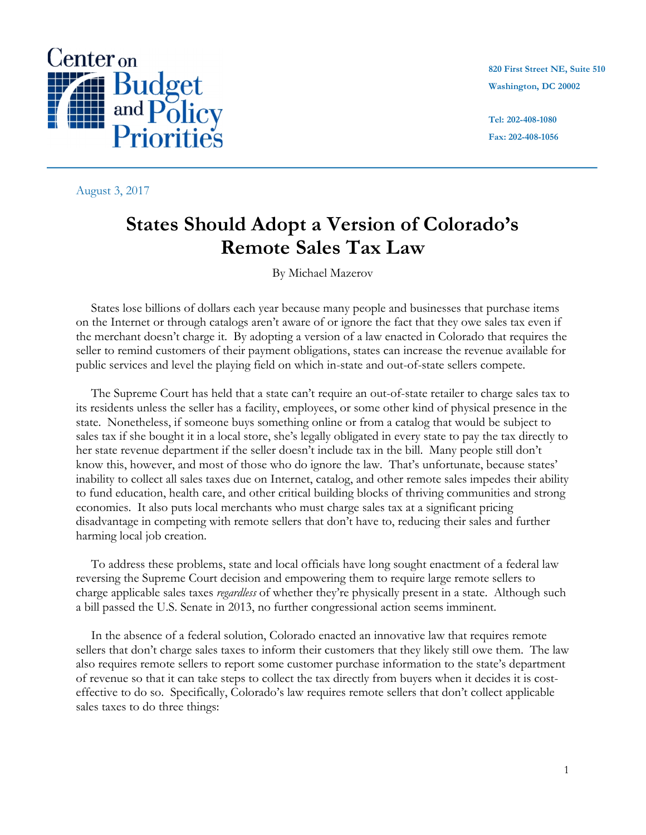

August 3, 2017

**820 First Street NE, Suite 510 Washington, DC 20002**

**Tel: 202-408-1080 Fax: 202-408-1056**

**center@cbpp.org**

# **States Should Adopt a Version of Colorado's Remote Sales Tax Law**

By Michael Mazerov

States lose billions of dollars each year because many people and businesses that purchase items on the Internet or through catalogs aren't aware of or ignore the fact that they owe sales tax even if the merchant doesn't charge it. By adopting a version of a law enacted in Colorado that requires the seller to remind customers of their payment obligations, states can increase the revenue available for public services and level the playing field on which in-state and out-of-state sellers compete.

The Supreme Court has held that a state can't require an out-of-state retailer to charge sales tax to its residents unless the seller has a facility, employees, or some other kind of physical presence in the state. Nonetheless, if someone buys something online or from a catalog that would be subject to sales tax if she bought it in a local store, she's legally obligated in every state to pay the tax directly to her state revenue department if the seller doesn't include tax in the bill. Many people still don't know this, however, and most of those who do ignore the law. That's unfortunate, because states' inability to collect all sales taxes due on Internet, catalog, and other remote sales impedes their ability to fund education, health care, and other critical building blocks of thriving communities and strong economies. It also puts local merchants who must charge sales tax at a significant pricing disadvantage in competing with remote sellers that don't have to, reducing their sales and further harming local job creation.

To address these problems, state and local officials have long sought enactment of a federal law reversing the Supreme Court decision and empowering them to require large remote sellers to charge applicable sales taxes *regardless* of whether they're physically present in a state. Although such a bill passed the U.S. Senate in 2013, no further congressional action seems imminent.

In the absence of a federal solution, Colorado enacted an innovative law that requires remote sellers that don't charge sales taxes to inform their customers that they likely still owe them. The law also requires remote sellers to report some customer purchase information to the state's department of revenue so that it can take steps to collect the tax directly from buyers when it decides it is costeffective to do so. Specifically, Colorado's law requires remote sellers that don't collect applicable sales taxes to do three things: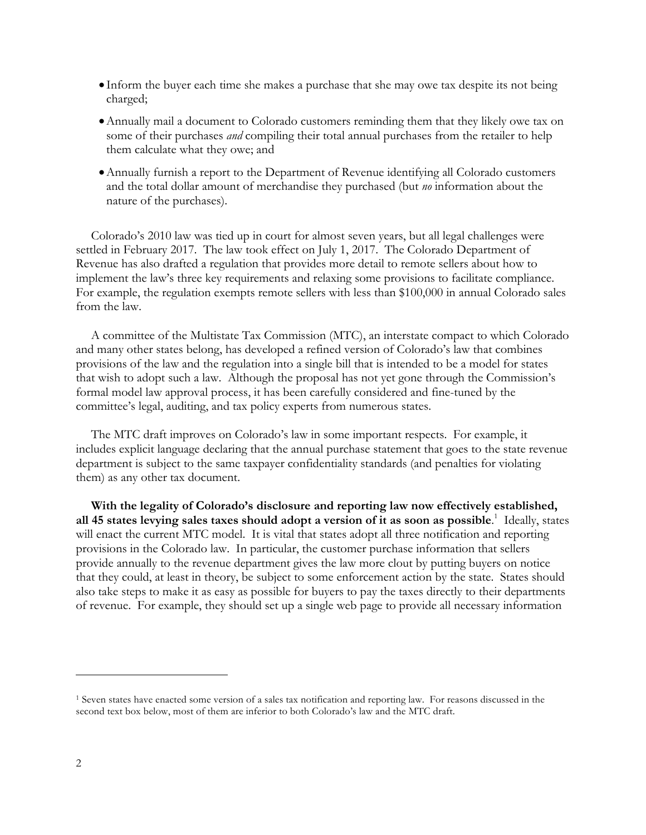- Inform the buyer each time she makes a purchase that she may owe tax despite its not being charged;
- •Annually mail a document to Colorado customers reminding them that they likely owe tax on some of their purchases *and* compiling their total annual purchases from the retailer to help them calculate what they owe; and
- •Annually furnish a report to the Department of Revenue identifying all Colorado customers and the total dollar amount of merchandise they purchased (but *no* information about the nature of the purchases).

Colorado's 2010 law was tied up in court for almost seven years, but all legal challenges were settled in February 2017. The law took effect on July 1, 2017. The Colorado Department of Revenue has also drafted a regulation that provides more detail to remote sellers about how to implement the law's three key requirements and relaxing some provisions to facilitate compliance. For example, the regulation exempts remote sellers with less than \$100,000 in annual Colorado sales from the law.

A committee of the Multistate Tax Commission (MTC), an interstate compact to which Colorado and many other states belong, has developed a refined version of Colorado's law that combines provisions of the law and the regulation into a single bill that is intended to be a model for states that wish to adopt such a law. Although the proposal has not yet gone through the Commission's formal model law approval process, it has been carefully considered and fine-tuned by the committee's legal, auditing, and tax policy experts from numerous states.

The MTC draft improves on Colorado's law in some important respects. For example, it includes explicit language declaring that the annual purchase statement that goes to the state revenue department is subject to the same taxpayer confidentiality standards (and penalties for violating them) as any other tax document.

**With the legality of Colorado's disclosure and reporting law now effectively established, all 45 states levying sales taxes should adopt a version of it as soon as possible**. 1 Ideally, states will enact the current MTC model. It is vital that states adopt all three notification and reporting provisions in the Colorado law. In particular, the customer purchase information that sellers provide annually to the revenue department gives the law more clout by putting buyers on notice that they could, at least in theory, be subject to some enforcement action by the state. States should also take steps to make it as easy as possible for buyers to pay the taxes directly to their departments of revenue. For example, they should set up a single web page to provide all necessary information

<sup>1</sup> Seven states have enacted some version of a sales tax notification and reporting law. For reasons discussed in the second text box below, most of them are inferior to both Colorado's law and the MTC draft.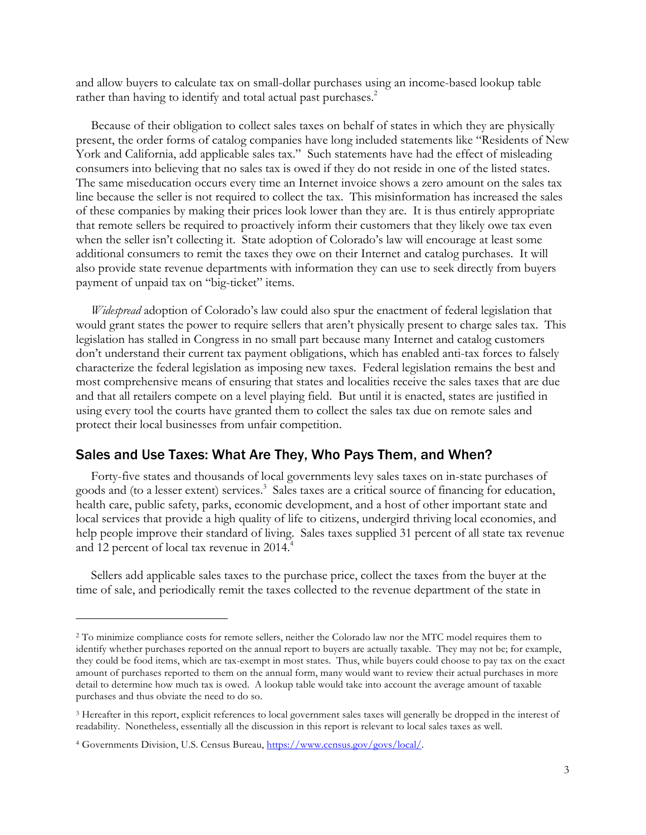and allow buyers to calculate tax on small-dollar purchases using an income-based lookup table rather than having to identify and total actual past purchases.<sup>2</sup>

Because of their obligation to collect sales taxes on behalf of states in which they are physically present, the order forms of catalog companies have long included statements like "Residents of New York and California, add applicable sales tax." Such statements have had the effect of misleading consumers into believing that no sales tax is owed if they do not reside in one of the listed states. The same miseducation occurs every time an Internet invoice shows a zero amount on the sales tax line because the seller is not required to collect the tax. This misinformation has increased the sales of these companies by making their prices look lower than they are. It is thus entirely appropriate that remote sellers be required to proactively inform their customers that they likely owe tax even when the seller isn't collecting it. State adoption of Colorado's law will encourage at least some additional consumers to remit the taxes they owe on their Internet and catalog purchases. It will also provide state revenue departments with information they can use to seek directly from buyers payment of unpaid tax on "big-ticket" items.

*Widespread* adoption of Colorado's law could also spur the enactment of federal legislation that would grant states the power to require sellers that aren't physically present to charge sales tax. This legislation has stalled in Congress in no small part because many Internet and catalog customers don't understand their current tax payment obligations, which has enabled anti-tax forces to falsely characterize the federal legislation as imposing new taxes. Federal legislation remains the best and most comprehensive means of ensuring that states and localities receive the sales taxes that are due and that all retailers compete on a level playing field. But until it is enacted, states are justified in using every tool the courts have granted them to collect the sales tax due on remote sales and protect their local businesses from unfair competition.

#### Sales and Use Taxes: What Are They, Who Pays Them, and When?

Forty-five states and thousands of local governments levy sales taxes on in-state purchases of goods and (to a lesser extent) services.<sup>3</sup> Sales taxes are a critical source of financing for education, health care, public safety, parks, economic development, and a host of other important state and local services that provide a high quality of life to citizens, undergird thriving local economies, and help people improve their standard of living. Sales taxes supplied 31 percent of all state tax revenue and 12 percent of local tax revenue in 2014. 4

Sellers add applicable sales taxes to the purchase price, collect the taxes from the buyer at the time of sale, and periodically remit the taxes collected to the revenue department of the state in

<sup>2</sup> To minimize compliance costs for remote sellers, neither the Colorado law nor the MTC model requires them to identify whether purchases reported on the annual report to buyers are actually taxable. They may not be; for example, they could be food items, which are tax-exempt in most states. Thus, while buyers could choose to pay tax on the exact amount of purchases reported to them on the annual form, many would want to review their actual purchases in more detail to determine how much tax is owed. A lookup table would take into account the average amount of taxable purchases and thus obviate the need to do so.

<sup>3</sup> Hereafter in this report, explicit references to local government sales taxes will generally be dropped in the interest of readability. Nonetheless, essentially all the discussion in this report is relevant to local sales taxes as well.

<sup>4</sup> Governments Division, U.S. Census Bureau, https://www.census.gov/govs/local/.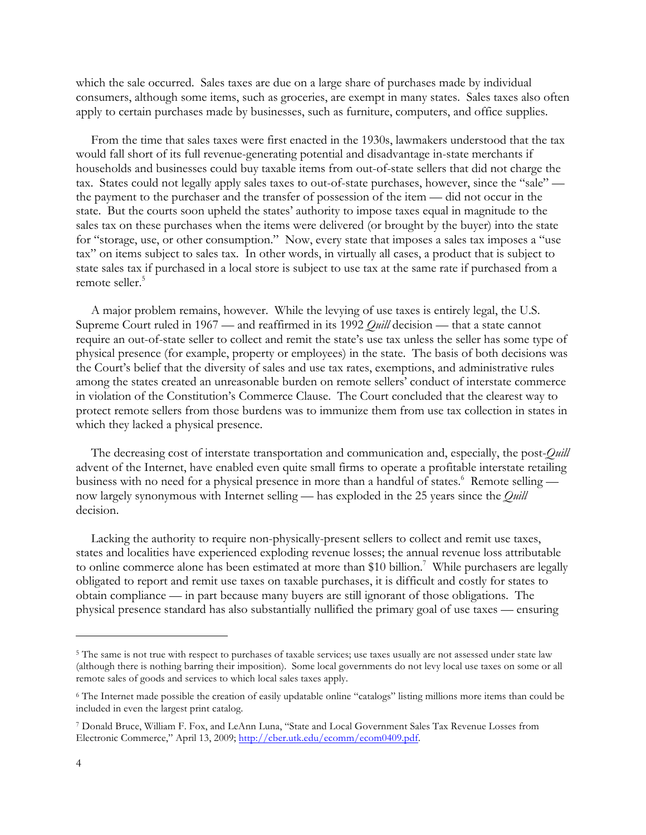which the sale occurred. Sales taxes are due on a large share of purchases made by individual consumers, although some items, such as groceries, are exempt in many states. Sales taxes also often apply to certain purchases made by businesses, such as furniture, computers, and office supplies.

From the time that sales taxes were first enacted in the 1930s, lawmakers understood that the tax would fall short of its full revenue-generating potential and disadvantage in-state merchants if households and businesses could buy taxable items from out-of-state sellers that did not charge the tax. States could not legally apply sales taxes to out-of-state purchases, however, since the "sale" the payment to the purchaser and the transfer of possession of the item — did not occur in the state. But the courts soon upheld the states' authority to impose taxes equal in magnitude to the sales tax on these purchases when the items were delivered (or brought by the buyer) into the state for "storage, use, or other consumption." Now, every state that imposes a sales tax imposes a "use tax" on items subject to sales tax. In other words, in virtually all cases, a product that is subject to state sales tax if purchased in a local store is subject to use tax at the same rate if purchased from a remote seller.<sup>5</sup>

A major problem remains, however. While the levying of use taxes is entirely legal, the U.S. Supreme Court ruled in 1967 — and reaffirmed in its 1992 *Quill* decision — that a state cannot require an out-of-state seller to collect and remit the state's use tax unless the seller has some type of physical presence (for example, property or employees) in the state. The basis of both decisions was the Court's belief that the diversity of sales and use tax rates, exemptions, and administrative rules among the states created an unreasonable burden on remote sellers' conduct of interstate commerce in violation of the Constitution's Commerce Clause. The Court concluded that the clearest way to protect remote sellers from those burdens was to immunize them from use tax collection in states in which they lacked a physical presence.

The decreasing cost of interstate transportation and communication and, especially, the post-*Quill* advent of the Internet, have enabled even quite small firms to operate a profitable interstate retailing business with no need for a physical presence in more than a handful of states.<sup>6</sup> Remote selling now largely synonymous with Internet selling — has exploded in the 25 years since the *Quill* decision.

Lacking the authority to require non-physically-present sellers to collect and remit use taxes, states and localities have experienced exploding revenue losses; the annual revenue loss attributable to online commerce alone has been estimated at more than \$10 billion.<sup>7</sup> While purchasers are legally obligated to report and remit use taxes on taxable purchases, it is difficult and costly for states to obtain compliance — in part because many buyers are still ignorant of those obligations. The physical presence standard has also substantially nullified the primary goal of use taxes — ensuring

<sup>&</sup>lt;sup>5</sup> The same is not true with respect to purchases of taxable services; use taxes usually are not assessed under state law (although there is nothing barring their imposition). Some local governments do not levy local use taxes on some or all remote sales of goods and services to which local sales taxes apply.

<sup>6</sup> The Internet made possible the creation of easily updatable online "catalogs" listing millions more items than could be included in even the largest print catalog.

<sup>7</sup> Donald Bruce, William F. Fox, and LeAnn Luna, "State and Local Government Sales Tax Revenue Losses from Electronic Commerce," April 13, 2009; http://cber.utk.edu/ecomm/ecom0409.pdf.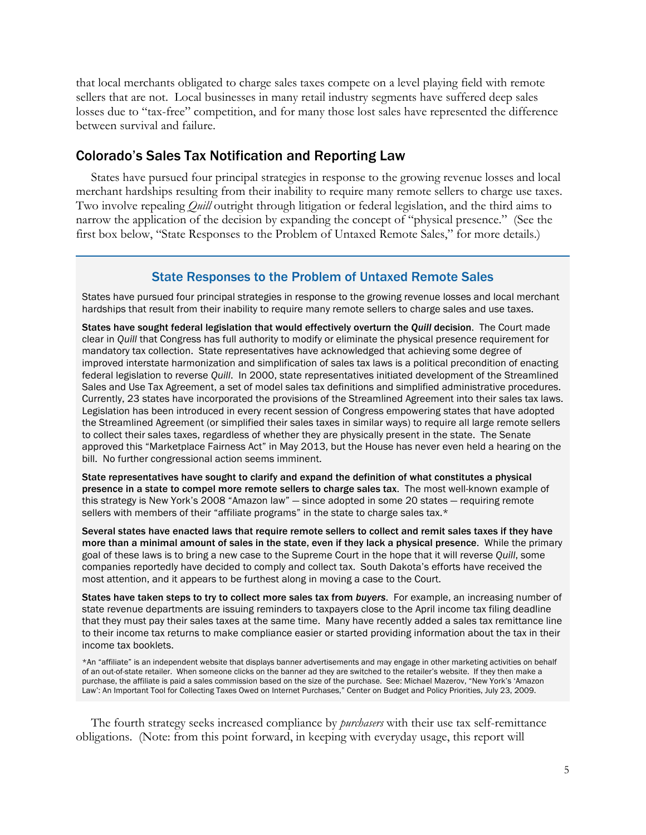that local merchants obligated to charge sales taxes compete on a level playing field with remote sellers that are not. Local businesses in many retail industry segments have suffered deep sales losses due to "tax-free" competition, and for many those lost sales have represented the difference between survival and failure.

## Colorado's Sales Tax Notification and Reporting Law

States have pursued four principal strategies in response to the growing revenue losses and local merchant hardships resulting from their inability to require many remote sellers to charge use taxes. Two involve repealing *Quill* outright through litigation or federal legislation, and the third aims to narrow the application of the decision by expanding the concept of "physical presence." (See the first box below, "State Responses to the Problem of Untaxed Remote Sales," for more details.)

#### State Responses to the Problem of Untaxed Remote Sales

States have pursued four principal strategies in response to the growing revenue losses and local merchant hardships that result from their inability to require many remote sellers to charge sales and use taxes.

States have sought federal legislation that would effectively overturn the *Quill* decision. The Court made clear in *Quill* that Congress has full authority to modify or eliminate the physical presence requirement for mandatory tax collection. State representatives have acknowledged that achieving some degree of improved interstate harmonization and simplification of sales tax laws is a political precondition of enacting federal legislation to reverse *Quill*. In 2000, state representatives initiated development of the Streamlined Sales and Use Tax Agreement, a set of model sales tax definitions and simplified administrative procedures. Currently, 23 states have incorporated the provisions of the Streamlined Agreement into their sales tax laws. Legislation has been introduced in every recent session of Congress empowering states that have adopted the Streamlined Agreement (or simplified their sales taxes in similar ways) to require all large remote sellers to collect their sales taxes, regardless of whether they are physically present in the state. The Senate approved this "Marketplace Fairness Act" in May 2013, but the House has never even held a hearing on the bill. No further congressional action seems imminent.

State representatives have sought to clarify and expand the definition of what constitutes a physical presence in a state to compel more remote sellers to charge sales tax. The most well-known example of this strategy is New York's 2008 "Amazon law" — since adopted in some 20 states — requiring remote sellers with members of their "affiliate programs" in the state to charge sales tax.\*

Several states have enacted laws that require remote sellers to collect and remit sales taxes if they have more than a minimal amount of sales in the state, even if they lack a physical presence. While the primary goal of these laws is to bring a new case to the Supreme Court in the hope that it will reverse *Quill*, some companies reportedly have decided to comply and collect tax. South Dakota's efforts have received the most attention, and it appears to be furthest along in moving a case to the Court.

States have taken steps to try to collect more sales tax from *buyers*. For example, an increasing number of state revenue departments are issuing reminders to taxpayers close to the April income tax filing deadline that they must pay their sales taxes at the same time. Many have recently added a sales tax remittance line to their income tax returns to make compliance easier or started providing information about the tax in their income tax booklets.

\*An "affiliate" is an independent website that displays banner advertisements and may engage in other marketing activities on behalf of an out-of-state retailer. When someone clicks on the banner ad they are switched to the retailer's website. If they then make a purchase, the affiliate is paid a sales commission based on the size of the purchase. See: Michael Mazerov, "New York's 'Amazon Law': An Important Tool for Collecting Taxes Owed on Internet Purchases," Center on Budget and Policy Priorities, July 23, 2009.

The fourth strategy seeks increased compliance by *purchasers* with their use tax self-remittance obligations. (Note: from this point forward, in keeping with everyday usage, this report will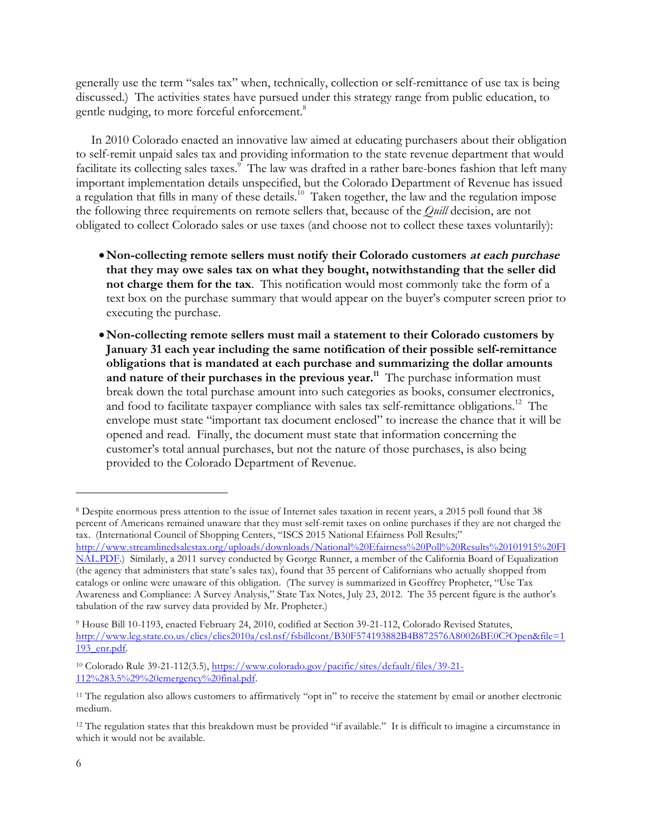generally use the term "sales tax" when, technically, collection or self-remittance of use tax is being discussed.) The activities states have pursued under this strategy range from public education, to gentle nudging, to more forceful enforcement.<sup>8</sup>

In 2010 Colorado enacted an innovative law aimed at educating purchasers about their obligation to self-remit unpaid sales tax and providing information to the state revenue department that would facilitate its collecting sales taxes.<sup>9</sup> The law was drafted in a rather bare-bones fashion that left many important implementation details unspecified, but the Colorado Department of Revenue has issued a regulation that fills in many of these details.<sup>10</sup> Taken together, the law and the regulation impose the following three requirements on remote sellers that, because of the *Quill* decision, are not obligated to collect Colorado sales or use taxes (and choose not to collect these taxes voluntarily):

- •**Non-collecting remote sellers must notify their Colorado customers at each purchase that they may owe sales tax on what they bought, notwithstanding that the seller did not charge them for the tax**. This notification would most commonly take the form of a text box on the purchase summary that would appear on the buyer's computer screen prior to executing the purchase.
- •**Non-collecting remote sellers must mail a statement to their Colorado customers by January 31 each year including the same notification of their possible self-remittance obligations that is mandated at each purchase and summarizing the dollar amounts** and nature of their purchases in the previous year.<sup>11</sup> The purchase information must break down the total purchase amount into such categories as books, consumer electronics, and food to facilitate taxpayer compliance with sales tax self-remittance obligations.<sup>12</sup> The envelope must state "important tax document enclosed" to increase the chance that it will be opened and read. Finally, the document must state that information concerning the customer's total annual purchases, but not the nature of those purchases, is also being provided to the Colorado Department of Revenue.

<sup>8</sup> Despite enormous press attention to the issue of Internet sales taxation in recent years, a 2015 poll found that 38 percent of Americans remained unaware that they must self-remit taxes on online purchases if they are not charged the tax. (International Council of Shopping Centers, "ISCS 2015 National Efairness Poll Results;" http://www.streamlinedsalestax.org/uploads/downloads/National%20Efairness%20Poll%20Results%20101915%20FI NAL.PDF.) Similarly, a 2011 survey conducted by George Runner, a member of the California Board of Equalization (the agency that administers that state's sales tax), found that 35 percent of Californians who actually shopped from catalogs or online were unaware of this obligation. (The survey is summarized in Geoffrey Propheter, "Use Tax Awareness and Compliance: A Survey Analysis," State Tax Notes, July 23, 2012. The 35 percent figure is the author's tabulation of the raw survey data provided by Mr. Propheter.)

<sup>9</sup> House Bill 10-1193, enacted February 24, 2010, codified at Section 39-21-112, Colorado Revised Statutes, http://www.leg.state.co.us/clics/clics2010a/csl.nsf/fsbillcont/B30F574193882B4B872576A80026BE0C?Open&file=1 193\_enr.pdf.

<sup>10</sup> Colorado Rule 39-21-112(3.5), https://www.colorado.gov/pacific/sites/default/files/39-21- 112%283.5%29%20emergency%20final.pdf.

<sup>&</sup>lt;sup>11</sup> The regulation also allows customers to affirmatively "opt in" to receive the statement by email or another electronic medium.

<sup>12</sup> The regulation states that this breakdown must be provided "if available." It is difficult to imagine a circumstance in which it would not be available.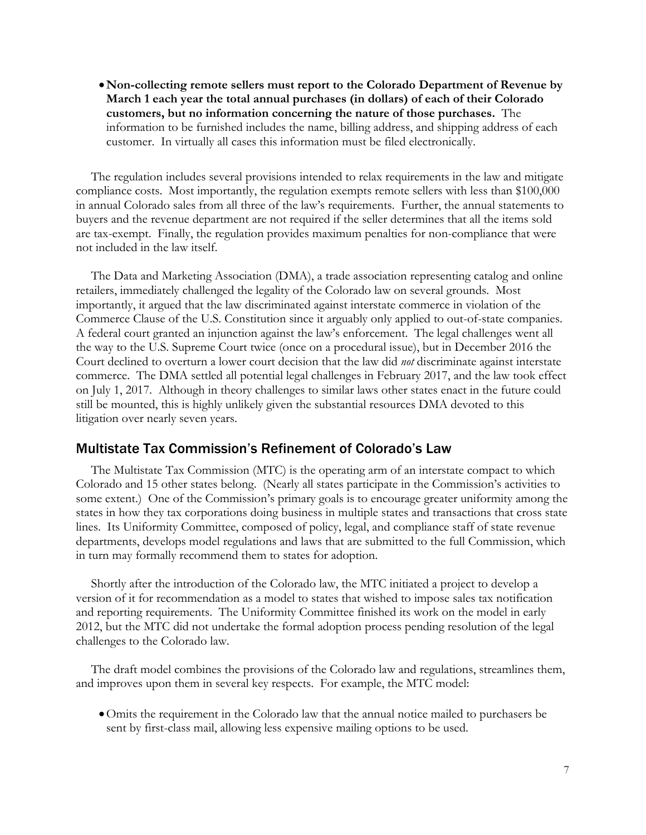•**Non-collecting remote sellers must report to the Colorado Department of Revenue by March 1 each year the total annual purchases (in dollars) of each of their Colorado customers, but no information concerning the nature of those purchases.** The information to be furnished includes the name, billing address, and shipping address of each customer. In virtually all cases this information must be filed electronically.

The regulation includes several provisions intended to relax requirements in the law and mitigate compliance costs. Most importantly, the regulation exempts remote sellers with less than \$100,000 in annual Colorado sales from all three of the law's requirements. Further, the annual statements to buyers and the revenue department are not required if the seller determines that all the items sold are tax-exempt. Finally, the regulation provides maximum penalties for non-compliance that were not included in the law itself.

The Data and Marketing Association (DMA), a trade association representing catalog and online retailers, immediately challenged the legality of the Colorado law on several grounds. Most importantly, it argued that the law discriminated against interstate commerce in violation of the Commerce Clause of the U.S. Constitution since it arguably only applied to out-of-state companies. A federal court granted an injunction against the law's enforcement. The legal challenges went all the way to the U.S. Supreme Court twice (once on a procedural issue), but in December 2016 the Court declined to overturn a lower court decision that the law did *not* discriminate against interstate commerce. The DMA settled all potential legal challenges in February 2017, and the law took effect on July 1, 2017. Although in theory challenges to similar laws other states enact in the future could still be mounted, this is highly unlikely given the substantial resources DMA devoted to this litigation over nearly seven years.

## Multistate Tax Commission's Refinement of Colorado's Law

The Multistate Tax Commission (MTC) is the operating arm of an interstate compact to which Colorado and 15 other states belong. (Nearly all states participate in the Commission's activities to some extent.) One of the Commission's primary goals is to encourage greater uniformity among the states in how they tax corporations doing business in multiple states and transactions that cross state lines. Its Uniformity Committee, composed of policy, legal, and compliance staff of state revenue departments, develops model regulations and laws that are submitted to the full Commission, which in turn may formally recommend them to states for adoption.

Shortly after the introduction of the Colorado law, the MTC initiated a project to develop a version of it for recommendation as a model to states that wished to impose sales tax notification and reporting requirements. The Uniformity Committee finished its work on the model in early 2012, but the MTC did not undertake the formal adoption process pending resolution of the legal challenges to the Colorado law.

The draft model combines the provisions of the Colorado law and regulations, streamlines them, and improves upon them in several key respects. For example, the MTC model:

•Omits the requirement in the Colorado law that the annual notice mailed to purchasers be sent by first-class mail, allowing less expensive mailing options to be used.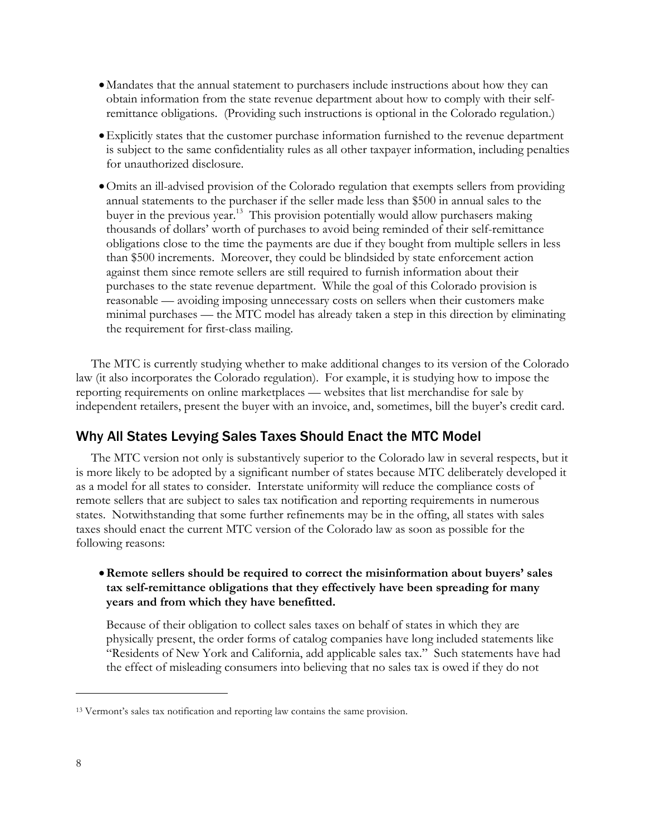- Mandates that the annual statement to purchasers include instructions about how they can obtain information from the state revenue department about how to comply with their selfremittance obligations. (Providing such instructions is optional in the Colorado regulation.)
- •Explicitly states that the customer purchase information furnished to the revenue department is subject to the same confidentiality rules as all other taxpayer information, including penalties for unauthorized disclosure.
- •Omits an ill-advised provision of the Colorado regulation that exempts sellers from providing annual statements to the purchaser if the seller made less than \$500 in annual sales to the buyer in the previous year.<sup>13</sup> This provision potentially would allow purchasers making thousands of dollars' worth of purchases to avoid being reminded of their self-remittance obligations close to the time the payments are due if they bought from multiple sellers in less than \$500 increments. Moreover, they could be blindsided by state enforcement action against them since remote sellers are still required to furnish information about their purchases to the state revenue department. While the goal of this Colorado provision is reasonable — avoiding imposing unnecessary costs on sellers when their customers make minimal purchases — the MTC model has already taken a step in this direction by eliminating the requirement for first-class mailing.

The MTC is currently studying whether to make additional changes to its version of the Colorado law (it also incorporates the Colorado regulation). For example, it is studying how to impose the reporting requirements on online marketplaces — websites that list merchandise for sale by independent retailers, present the buyer with an invoice, and, sometimes, bill the buyer's credit card.

## Why All States Levying Sales Taxes Should Enact the MTC Model

The MTC version not only is substantively superior to the Colorado law in several respects, but it is more likely to be adopted by a significant number of states because MTC deliberately developed it as a model for all states to consider. Interstate uniformity will reduce the compliance costs of remote sellers that are subject to sales tax notification and reporting requirements in numerous states. Notwithstanding that some further refinements may be in the offing, all states with sales taxes should enact the current MTC version of the Colorado law as soon as possible for the following reasons:

#### •**Remote sellers should be required to correct the misinformation about buyers' sales tax self-remittance obligations that they effectively have been spreading for many years and from which they have benefitted.**

Because of their obligation to collect sales taxes on behalf of states in which they are physically present, the order forms of catalog companies have long included statements like "Residents of New York and California, add applicable sales tax." Such statements have had the effect of misleading consumers into believing that no sales tax is owed if they do not

<sup>13</sup> Vermont's sales tax notification and reporting law contains the same provision.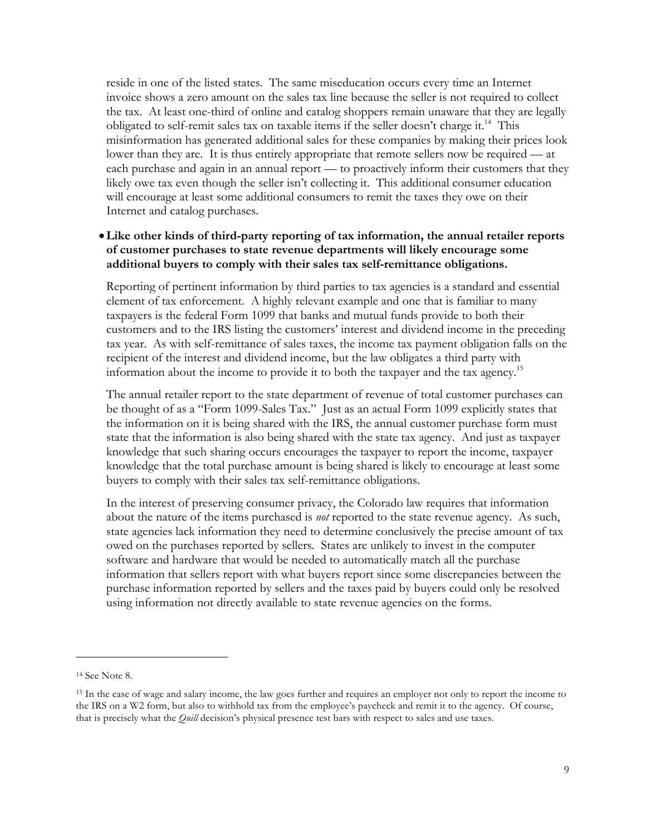reside in one of the listed states. The same miseducation occurs every time an Internet invoice shows a zero amount on the sales tax line because the seller is not required to collect the tax. At least one-third of online and catalog shoppers remain unaware that they are legally obligated to self-remit sales tax on taxable items if the seller doesn't charge it.<sup>14</sup> This misinformation has generated additional sales for these companies by making their prices look lower than they are. It is thus entirely appropriate that remote sellers now be required — at each purchase and again in an annual report — to proactively inform their customers that they likely owe tax even though the seller isn't collecting it. This additional consumer education will encourage at least some additional consumers to remit the taxes they owe on their Internet and catalog purchases.

## •**Like other kinds of third-party reporting of tax information, the annual retailer reports of customer purchases to state revenue departments will likely encourage some additional buyers to comply with their sales tax self-remittance obligations.**

Reporting of pertinent information by third parties to tax agencies is a standard and essential element of tax enforcement. A highly relevant example and one that is familiar to many taxpayers is the federal Form 1099 that banks and mutual funds provide to both their customers and to the IRS listing the customers' interest and dividend income in the preceding tax year. As with self-remittance of sales taxes, the income tax payment obligation falls on the recipient of the interest and dividend income, but the law obligates a third party with information about the income to provide it to both the taxpayer and the tax agency.15

The annual retailer report to the state department of revenue of total customer purchases can be thought of as a "Form 1099-Sales Tax." Just as an actual Form 1099 explicitly states that the information on it is being shared with the IRS, the annual customer purchase form must state that the information is also being shared with the state tax agency. And just as taxpayer knowledge that such sharing occurs encourages the taxpayer to report the income, taxpayer knowledge that the total purchase amount is being shared is likely to encourage at least some buyers to comply with their sales tax self-remittance obligations.

In the interest of preserving consumer privacy, the Colorado law requires that information about the nature of the items purchased is *not* reported to the state revenue agency. As such, state agencies lack information they need to determine conclusively the precise amount of tax owed on the purchases reported by sellers. States are unlikely to invest in the computer software and hardware that would be needed to automatically match all the purchase information that sellers report with what buyers report since some discrepancies between the purchase information reported by sellers and the taxes paid by buyers could only be resolved using information not directly available to state revenue agencies on the forms.

<sup>14</sup> See Note 8.

<sup>15</sup> In the case of wage and salary income, the law goes further and requires an employer not only to report the income to the IRS on a W2 form, but also to withhold tax from the employee's paycheck and remit it to the agency. Of course, that is precisely what the *Quill* decision's physical presence test bars with respect to sales and use taxes.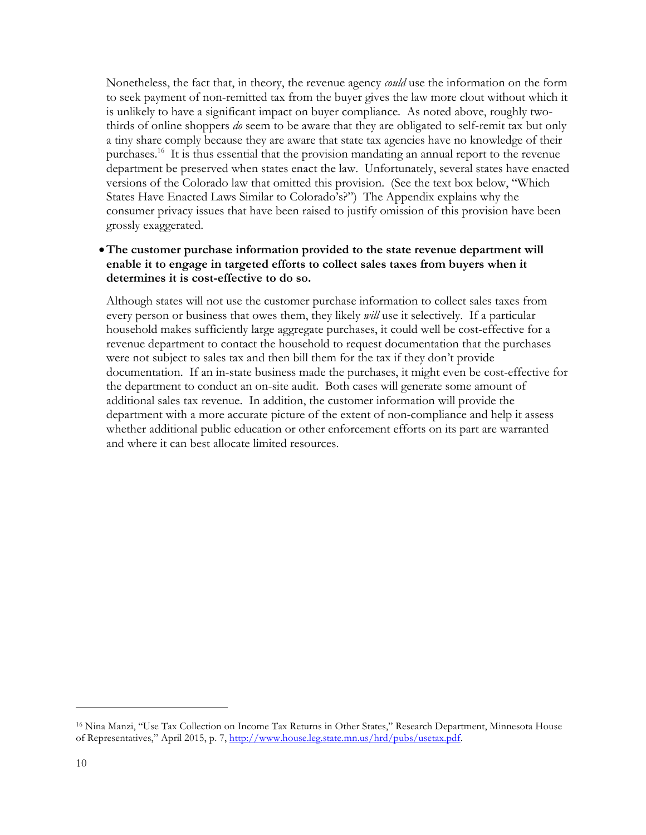Nonetheless, the fact that, in theory, the revenue agency *could* use the information on the form to seek payment of non-remitted tax from the buyer gives the law more clout without which it is unlikely to have a significant impact on buyer compliance. As noted above, roughly twothirds of online shoppers *do* seem to be aware that they are obligated to self-remit tax but only a tiny share comply because they are aware that state tax agencies have no knowledge of their purchases.16 It is thus essential that the provision mandating an annual report to the revenue department be preserved when states enact the law. Unfortunately, several states have enacted versions of the Colorado law that omitted this provision. (See the text box below, "Which States Have Enacted Laws Similar to Colorado's?") The Appendix explains why the consumer privacy issues that have been raised to justify omission of this provision have been grossly exaggerated.

## •**The customer purchase information provided to the state revenue department will enable it to engage in targeted efforts to collect sales taxes from buyers when it determines it is cost-effective to do so.**

Although states will not use the customer purchase information to collect sales taxes from every person or business that owes them, they likely *will* use it selectively. If a particular household makes sufficiently large aggregate purchases, it could well be cost-effective for a revenue department to contact the household to request documentation that the purchases were not subject to sales tax and then bill them for the tax if they don't provide documentation. If an in-state business made the purchases, it might even be cost-effective for the department to conduct an on-site audit. Both cases will generate some amount of additional sales tax revenue. In addition, the customer information will provide the department with a more accurate picture of the extent of non-compliance and help it assess whether additional public education or other enforcement efforts on its part are warranted and where it can best allocate limited resources.

<sup>16</sup> Nina Manzi, "Use Tax Collection on Income Tax Returns in Other States," Research Department, Minnesota House of Representatives," April 2015, p. 7, http://www.house.leg.state.mn.us/hrd/pubs/usetax.pdf.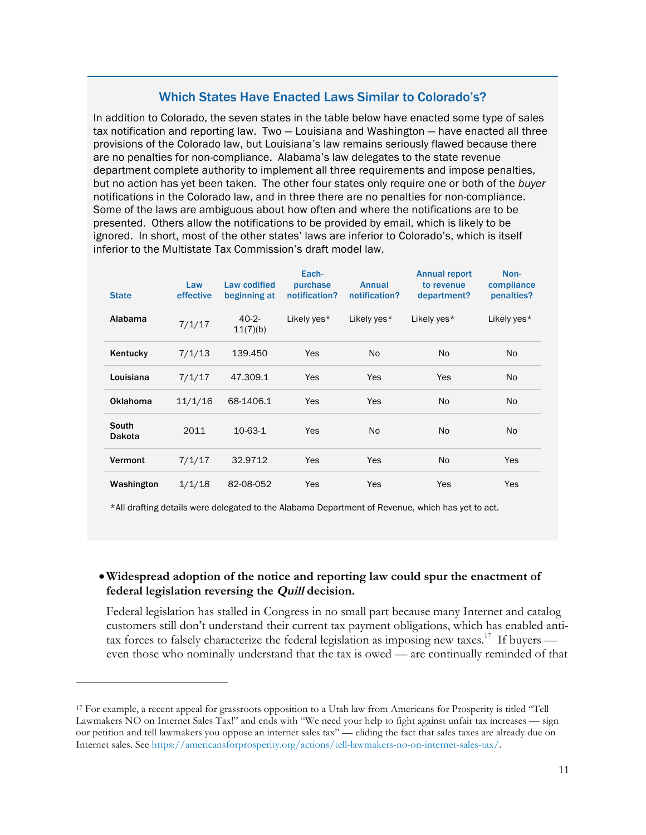## Which States Have Enacted Laws Similar to Colorado's?

In addition to Colorado, the seven states in the table below have enacted some type of sales tax notification and reporting law. Two — Louisiana and Washington — have enacted all three provisions of the Colorado law, but Louisiana's law remains seriously flawed because there are no penalties for non-compliance. Alabama's law delegates to the state revenue department complete authority to implement all three requirements and impose penalties, but no action has yet been taken. The other four states only require one or both of the *buyer* notifications in the Colorado law, and in three there are no penalties for non-compliance. Some of the laws are ambiguous about how often and where the notifications are to be presented. Others allow the notifications to be provided by email, which is likely to be ignored. In short, most of the other states' laws are inferior to Colorado's, which is itself inferior to the Multistate Tax Commission's draft model law.

| <b>State</b>           | Law<br>effective | Law codified<br>beginning at | Each-<br>purchase<br>notification? | <b>Annual</b><br>notification? | <b>Annual report</b><br>to revenue<br>department? | Non-<br>compliance<br>penalties? |
|------------------------|------------------|------------------------------|------------------------------------|--------------------------------|---------------------------------------------------|----------------------------------|
| Alabama                | 7/1/17           | $40-2-$<br>11(7)(b)          | Likely yes*                        | Likely yes*                    | Likely yes*                                       | Likely yes*                      |
| Kentucky               | 7/1/13           | 139.450                      | Yes                                | No                             | No.                                               | N <sub>o</sub>                   |
| Louisiana              | 7/1/17           | 47.309.1                     | Yes                                | Yes                            | <b>Yes</b>                                        | N <sub>o</sub>                   |
| Oklahoma               | 11/1/16          | 68-1406.1                    | Yes                                | Yes                            | No.                                               | No.                              |
| South<br><b>Dakota</b> | 2011             | $10-63-1$                    | Yes                                | N <sub>o</sub>                 | No.                                               | <b>No</b>                        |
| Vermont                | 7/1/17           | 32.9712                      | Yes                                | Yes                            | No.                                               | Yes                              |
| Washington             | 1/1/18           | 82-08-052                    | Yes                                | Yes                            | Yes                                               | Yes                              |

\*All drafting details were delegated to the Alabama Department of Revenue, which has yet to act.

## •**Widespread adoption of the notice and reporting law could spur the enactment of federal legislation reversing the Quill decision.**

Federal legislation has stalled in Congress in no small part because many Internet and catalog customers still don't understand their current tax payment obligations, which has enabled antitax forces to falsely characterize the federal legislation as imposing new taxes.<sup>17</sup> If buyers even those who nominally understand that the tax is owed — are continually reminded of that

<sup>17</sup> For example, a recent appeal for grassroots opposition to a Utah law from Americans for Prosperity is titled "Tell Lawmakers NO on Internet Sales Tax!" and ends with "We need your help to fight against unfair tax increases — sign our petition and tell lawmakers you oppose an internet sales tax" — eliding the fact that sales taxes are already due on Internet sales. See https://americansforprosperity.org/actions/tell-lawmakers-no-on-internet-sales-tax/.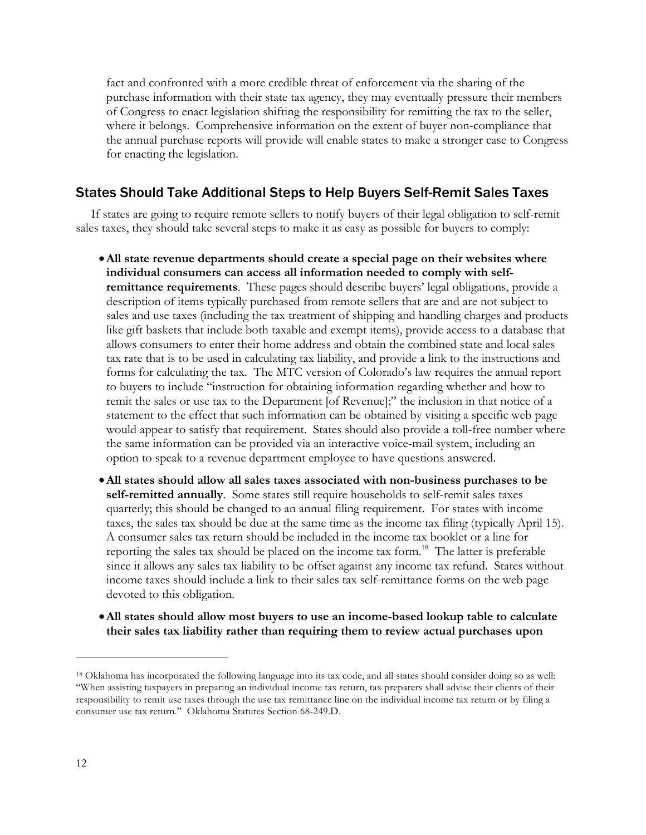fact and confronted with a more credible threat of enforcement via the sharing of the purchase information with their state tax agency, they may eventually pressure their members of Congress to enact legislation shifting the responsibility for remitting the tax to the seller, where it belongs. Comprehensive information on the extent of buyer non-compliance that the annual purchase reports will provide will enable states to make a stronger case to Congress for enacting the legislation.

# States Should Take Additional Steps to Help Buyers Self-Remit Sales Taxes

If states are going to require remote sellers to notify buyers of their legal obligation to self-remit sales taxes, they should take several steps to make it as easy as possible for buyers to comply:

- •**All state revenue departments should create a special page on their websites where individual consumers can access all information needed to comply with selfremittance requirements**. These pages should describe buyers' legal obligations, provide a description of items typically purchased from remote sellers that are and are not subject to sales and use taxes (including the tax treatment of shipping and handling charges and products like gift baskets that include both taxable and exempt items), provide access to a database that allows consumers to enter their home address and obtain the combined state and local sales tax rate that is to be used in calculating tax liability, and provide a link to the instructions and forms for calculating the tax. The MTC version of Colorado's law requires the annual report to buyers to include "instruction for obtaining information regarding whether and how to remit the sales or use tax to the Department [of Revenue];" the inclusion in that notice of a statement to the effect that such information can be obtained by visiting a specific web page would appear to satisfy that requirement. States should also provide a toll-free number where the same information can be provided via an interactive voice-mail system, including an option to speak to a revenue department employee to have questions answered.
- •**All states should allow all sales taxes associated with non-business purchases to be self-remitted annually**. Some states still require households to self-remit sales taxes quarterly; this should be changed to an annual filing requirement. For states with income taxes, the sales tax should be due at the same time as the income tax filing (typically April 15). A consumer sales tax return should be included in the income tax booklet or a line for reporting the sales tax should be placed on the income tax form. 18 The latter is preferable since it allows any sales tax liability to be offset against any income tax refund. States without income taxes should include a link to their sales tax self-remittance forms on the web page devoted to this obligation.
- •**All states should allow most buyers to use an income-based lookup table to calculate their sales tax liability rather than requiring them to review actual purchases upon**

<sup>18</sup> Oklahoma has incorporated the following language into its tax code, and all states should consider doing so as well: "When assisting taxpayers in preparing an individual income tax return, tax preparers shall advise their clients of their responsibility to remit use taxes through the use tax remittance line on the individual income tax return or by filing a consumer use tax return." Oklahoma Statutes Section 68-249.D.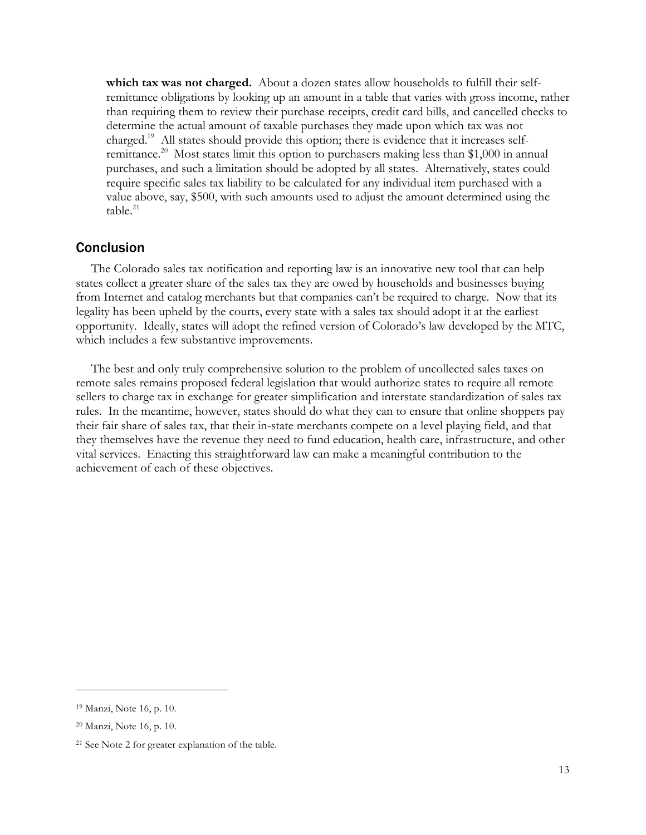**which tax was not charged.** About a dozen states allow households to fulfill their selfremittance obligations by looking up an amount in a table that varies with gross income, rather than requiring them to review their purchase receipts, credit card bills, and cancelled checks to determine the actual amount of taxable purchases they made upon which tax was not charged.19 All states should provide this option; there is evidence that it increases selfremittance.<sup>20</sup> Most states limit this option to purchasers making less than \$1,000 in annual purchases, and such a limitation should be adopted by all states. Alternatively, states could require specific sales tax liability to be calculated for any individual item purchased with a value above, say, \$500, with such amounts used to adjust the amount determined using the  $table.<sup>21</sup>$ 

## Conclusion

The Colorado sales tax notification and reporting law is an innovative new tool that can help states collect a greater share of the sales tax they are owed by households and businesses buying from Internet and catalog merchants but that companies can't be required to charge. Now that its legality has been upheld by the courts, every state with a sales tax should adopt it at the earliest opportunity. Ideally, states will adopt the refined version of Colorado's law developed by the MTC, which includes a few substantive improvements.

The best and only truly comprehensive solution to the problem of uncollected sales taxes on remote sales remains proposed federal legislation that would authorize states to require all remote sellers to charge tax in exchange for greater simplification and interstate standardization of sales tax rules. In the meantime, however, states should do what they can to ensure that online shoppers pay their fair share of sales tax, that their in-state merchants compete on a level playing field, and that they themselves have the revenue they need to fund education, health care, infrastructure, and other vital services. Enacting this straightforward law can make a meaningful contribution to the achievement of each of these objectives.

<sup>19</sup> Manzi, Note 16, p. 10.

<sup>20</sup> Manzi, Note 16, p. 10.

<sup>21</sup> See Note 2 for greater explanation of the table.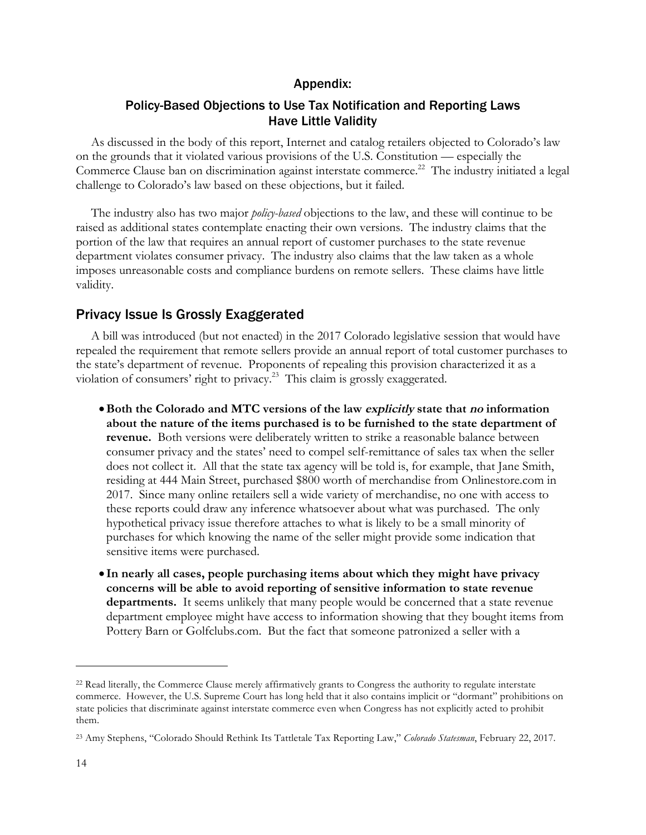#### Appendix:

## Policy-Based Objections to Use Tax Notification and Reporting Laws Have Little Validity

As discussed in the body of this report, Internet and catalog retailers objected to Colorado's law on the grounds that it violated various provisions of the U.S. Constitution — especially the Commerce Clause ban on discrimination against interstate commerce.<sup>22</sup> The industry initiated a legal challenge to Colorado's law based on these objections, but it failed.

The industry also has two major *policy-based* objections to the law, and these will continue to be raised as additional states contemplate enacting their own versions. The industry claims that the portion of the law that requires an annual report of customer purchases to the state revenue department violates consumer privacy. The industry also claims that the law taken as a whole imposes unreasonable costs and compliance burdens on remote sellers. These claims have little validity.

## Privacy Issue Is Grossly Exaggerated

A bill was introduced (but not enacted) in the 2017 Colorado legislative session that would have repealed the requirement that remote sellers provide an annual report of total customer purchases to the state's department of revenue. Proponents of repealing this provision characterized it as a violation of consumers' right to privacy.23 This claim is grossly exaggerated.

- •**Both the Colorado and MTC versions of the law explicitly state that no information about the nature of the items purchased is to be furnished to the state department of revenue.** Both versions were deliberately written to strike a reasonable balance between consumer privacy and the states' need to compel self-remittance of sales tax when the seller does not collect it. All that the state tax agency will be told is, for example, that Jane Smith, residing at 444 Main Street, purchased \$800 worth of merchandise from Onlinestore.com in 2017. Since many online retailers sell a wide variety of merchandise, no one with access to these reports could draw any inference whatsoever about what was purchased. The only hypothetical privacy issue therefore attaches to what is likely to be a small minority of purchases for which knowing the name of the seller might provide some indication that sensitive items were purchased.
- **In nearly all cases, people purchasing items about which they might have privacy concerns will be able to avoid reporting of sensitive information to state revenue departments.** It seems unlikely that many people would be concerned that a state revenue department employee might have access to information showing that they bought items from Pottery Barn or Golfclubs.com. But the fact that someone patronized a seller with a

<sup>22</sup> Read literally, the Commerce Clause merely affirmatively grants to Congress the authority to regulate interstate commerce. However, the U.S. Supreme Court has long held that it also contains implicit or "dormant" prohibitions on state policies that discriminate against interstate commerce even when Congress has not explicitly acted to prohibit them.

<sup>23</sup> Amy Stephens, "Colorado Should Rethink Its Tattletale Tax Reporting Law," *Colorado Statesman*, February 22, 2017.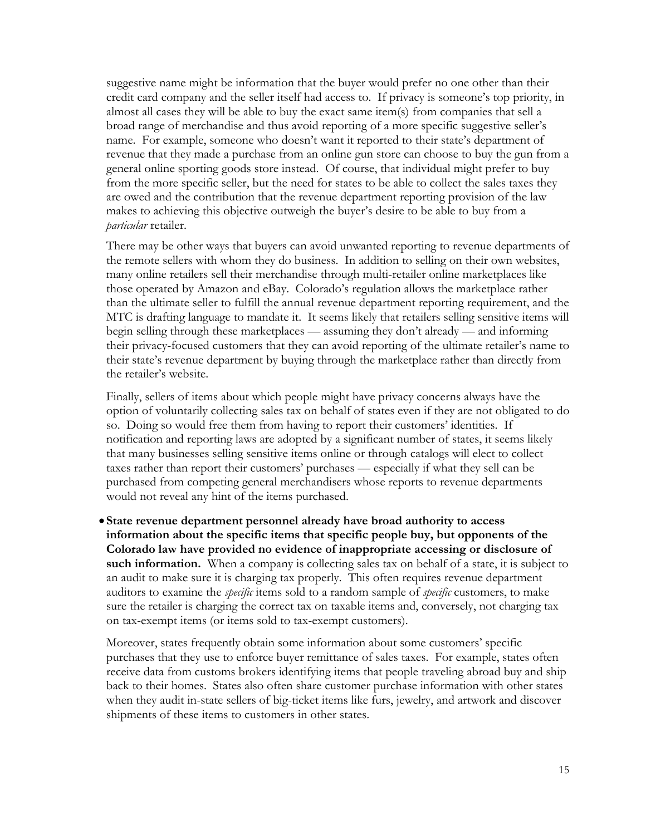suggestive name might be information that the buyer would prefer no one other than their credit card company and the seller itself had access to. If privacy is someone's top priority, in almost all cases they will be able to buy the exact same item(s) from companies that sell a broad range of merchandise and thus avoid reporting of a more specific suggestive seller's name. For example, someone who doesn't want it reported to their state's department of revenue that they made a purchase from an online gun store can choose to buy the gun from a general online sporting goods store instead. Of course, that individual might prefer to buy from the more specific seller, but the need for states to be able to collect the sales taxes they are owed and the contribution that the revenue department reporting provision of the law makes to achieving this objective outweigh the buyer's desire to be able to buy from a *particular* retailer.

There may be other ways that buyers can avoid unwanted reporting to revenue departments of the remote sellers with whom they do business. In addition to selling on their own websites, many online retailers sell their merchandise through multi-retailer online marketplaces like those operated by Amazon and eBay. Colorado's regulation allows the marketplace rather than the ultimate seller to fulfill the annual revenue department reporting requirement, and the MTC is drafting language to mandate it. It seems likely that retailers selling sensitive items will begin selling through these marketplaces — assuming they don't already — and informing their privacy-focused customers that they can avoid reporting of the ultimate retailer's name to their state's revenue department by buying through the marketplace rather than directly from the retailer's website.

Finally, sellers of items about which people might have privacy concerns always have the option of voluntarily collecting sales tax on behalf of states even if they are not obligated to do so. Doing so would free them from having to report their customers' identities. If notification and reporting laws are adopted by a significant number of states, it seems likely that many businesses selling sensitive items online or through catalogs will elect to collect taxes rather than report their customers' purchases — especially if what they sell can be purchased from competing general merchandisers whose reports to revenue departments would not reveal any hint of the items purchased.

• **State revenue department personnel already have broad authority to access information about the specific items that specific people buy, but opponents of the Colorado law have provided no evidence of inappropriate accessing or disclosure of**  such information. When a company is collecting sales tax on behalf of a state, it is subject to an audit to make sure it is charging tax properly. This often requires revenue department auditors to examine the *specific* items sold to a random sample of *specific* customers, to make sure the retailer is charging the correct tax on taxable items and, conversely, not charging tax on tax-exempt items (or items sold to tax-exempt customers).

Moreover, states frequently obtain some information about some customers' specific purchases that they use to enforce buyer remittance of sales taxes. For example, states often receive data from customs brokers identifying items that people traveling abroad buy and ship back to their homes. States also often share customer purchase information with other states when they audit in-state sellers of big-ticket items like furs, jewelry, and artwork and discover shipments of these items to customers in other states.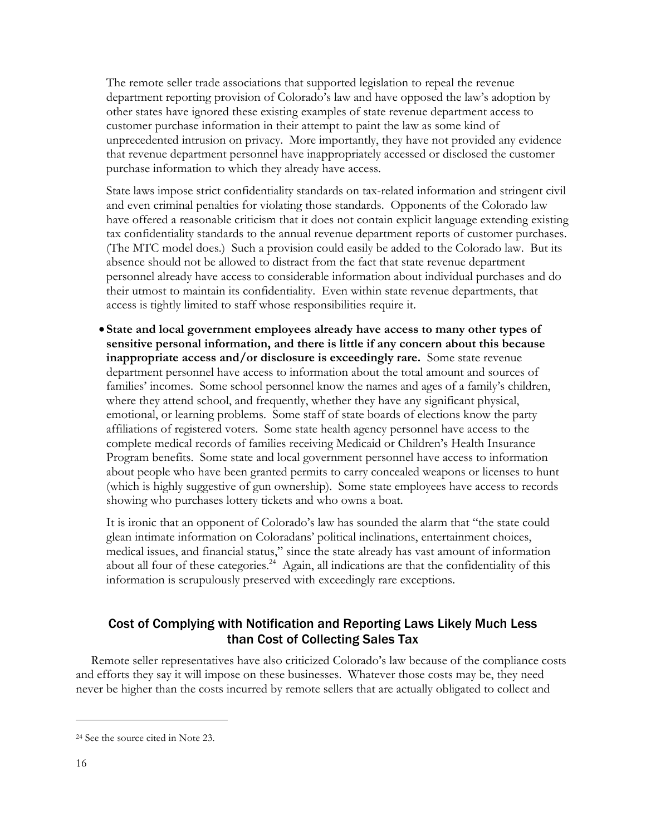The remote seller trade associations that supported legislation to repeal the revenue department reporting provision of Colorado's law and have opposed the law's adoption by other states have ignored these existing examples of state revenue department access to customer purchase information in their attempt to paint the law as some kind of unprecedented intrusion on privacy. More importantly, they have not provided any evidence that revenue department personnel have inappropriately accessed or disclosed the customer purchase information to which they already have access.

State laws impose strict confidentiality standards on tax-related information and stringent civil and even criminal penalties for violating those standards. Opponents of the Colorado law have offered a reasonable criticism that it does not contain explicit language extending existing tax confidentiality standards to the annual revenue department reports of customer purchases. (The MTC model does.) Such a provision could easily be added to the Colorado law. But its absence should not be allowed to distract from the fact that state revenue department personnel already have access to considerable information about individual purchases and do their utmost to maintain its confidentiality. Even within state revenue departments, that access is tightly limited to staff whose responsibilities require it.

• **State and local government employees already have access to many other types of sensitive personal information, and there is little if any concern about this because inappropriate access and/or disclosure is exceedingly rare.** Some state revenue department personnel have access to information about the total amount and sources of families' incomes. Some school personnel know the names and ages of a family's children, where they attend school, and frequently, whether they have any significant physical, emotional, or learning problems. Some staff of state boards of elections know the party affiliations of registered voters. Some state health agency personnel have access to the complete medical records of families receiving Medicaid or Children's Health Insurance Program benefits. Some state and local government personnel have access to information about people who have been granted permits to carry concealed weapons or licenses to hunt (which is highly suggestive of gun ownership). Some state employees have access to records showing who purchases lottery tickets and who owns a boat.

It is ironic that an opponent of Colorado's law has sounded the alarm that "the state could glean intimate information on Coloradans' political inclinations, entertainment choices, medical issues, and financial status," since the state already has vast amount of information about all four of these categories.<sup>24</sup> Again, all indications are that the confidentiality of this information is scrupulously preserved with exceedingly rare exceptions.

## Cost of Complying with Notification and Reporting Laws Likely Much Less than Cost of Collecting Sales Tax

Remote seller representatives have also criticized Colorado's law because of the compliance costs and efforts they say it will impose on these businesses. Whatever those costs may be, they need never be higher than the costs incurred by remote sellers that are actually obligated to collect and

<sup>24</sup> See the source cited in Note 23.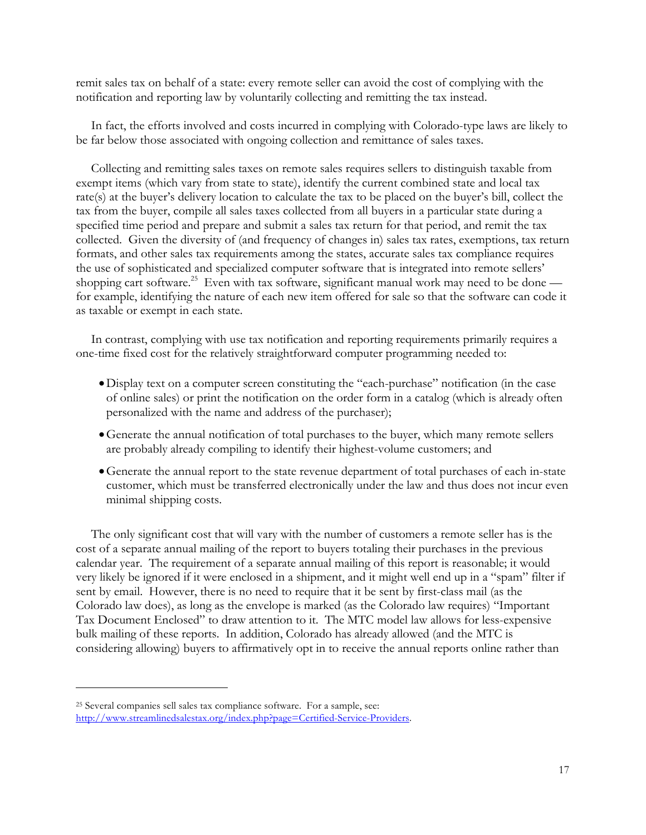remit sales tax on behalf of a state: every remote seller can avoid the cost of complying with the notification and reporting law by voluntarily collecting and remitting the tax instead.

In fact, the efforts involved and costs incurred in complying with Colorado-type laws are likely to be far below those associated with ongoing collection and remittance of sales taxes.

Collecting and remitting sales taxes on remote sales requires sellers to distinguish taxable from exempt items (which vary from state to state), identify the current combined state and local tax rate(s) at the buyer's delivery location to calculate the tax to be placed on the buyer's bill, collect the tax from the buyer, compile all sales taxes collected from all buyers in a particular state during a specified time period and prepare and submit a sales tax return for that period, and remit the tax collected. Given the diversity of (and frequency of changes in) sales tax rates, exemptions, tax return formats, and other sales tax requirements among the states, accurate sales tax compliance requires the use of sophisticated and specialized computer software that is integrated into remote sellers' shopping cart software.<sup>25</sup> Even with tax software, significant manual work may need to be done for example, identifying the nature of each new item offered for sale so that the software can code it as taxable or exempt in each state.

In contrast, complying with use tax notification and reporting requirements primarily requires a one-time fixed cost for the relatively straightforward computer programming needed to:

- •Display text on a computer screen constituting the "each-purchase" notification (in the case of online sales) or print the notification on the order form in a catalog (which is already often personalized with the name and address of the purchaser);
- •Generate the annual notification of total purchases to the buyer, which many remote sellers are probably already compiling to identify their highest-volume customers; and
- •Generate the annual report to the state revenue department of total purchases of each in-state customer, which must be transferred electronically under the law and thus does not incur even minimal shipping costs.

The only significant cost that will vary with the number of customers a remote seller has is the cost of a separate annual mailing of the report to buyers totaling their purchases in the previous calendar year. The requirement of a separate annual mailing of this report is reasonable; it would very likely be ignored if it were enclosed in a shipment, and it might well end up in a "spam" filter if sent by email. However, there is no need to require that it be sent by first-class mail (as the Colorado law does), as long as the envelope is marked (as the Colorado law requires) "Important Tax Document Enclosed" to draw attention to it. The MTC model law allows for less-expensive bulk mailing of these reports. In addition, Colorado has already allowed (and the MTC is considering allowing) buyers to affirmatively opt in to receive the annual reports online rather than

<sup>25</sup> Several companies sell sales tax compliance software. For a sample, see: http://www.streamlinedsalestax.org/index.php?page=Certified-Service-Providers.